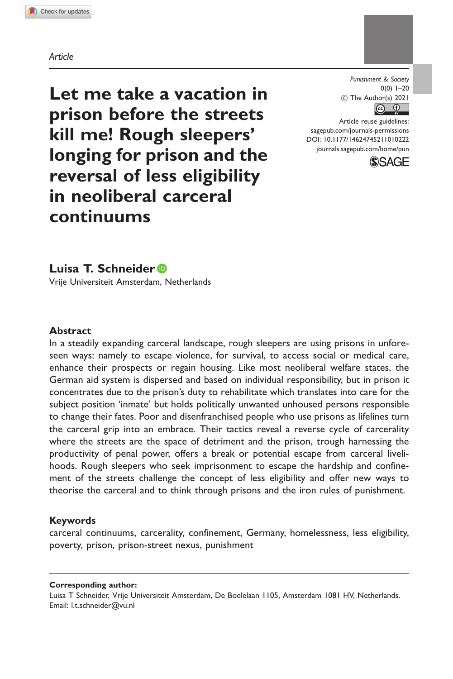Article

Let me take a vacation in prison before the streets kill me! Rough sleepers' longing for prison and the reversal of less eligibility in neoliberal carceral continuums

Punishment & Society  $0(0)$  1–20  $\circled{c}$  The Author(s) 2021

Article reuse guidelines: [sagepub.com/journals-permissions](http://uk.sagepub.com/en-gb/journals-permissions) [DOI: 10.1177/14624745211010222](http://dx.doi.org/10.1177/14624745211010222) <journals.sagepub.com/home/pun>



Luisa T. Schneider

Vrije Universiteit Amsterdam, Netherlands

### Abstract

In a steadily expanding carceral landscape, rough sleepers are using prisons in unforeseen ways: namely to escape violence, for survival, to access social or medical care, enhance their prospects or regain housing. Like most neoliberal welfare states, the German aid system is dispersed and based on individual responsibility, but in prison it concentrates due to the prison's duty to rehabilitate which translates into care for the subject position 'inmate' but holds politically unwanted unhoused persons responsible to change their fates. Poor and disenfranchised people who use prisons as lifelines turn the carceral grip into an embrace. Their tactics reveal a reverse cycle of carcerality where the streets are the space of detriment and the prison, trough harnessing the productivity of penal power, offers a break or potential escape from carceral livelihoods. Rough sleepers who seek imprisonment to escape the hardship and confinement of the streets challenge the concept of less eligibility and offer new ways to theorise the carceral and to think through prisons and the iron rules of punishment.

## Keywords

carceral continuums, carcerality, confinement, Germany, homelessness, less eligibility, poverty, prison, prison-street nexus, punishment

Corresponding author:

Luisa T Schneider, Vrije Universiteit Amsterdam, De Boelelaan 1105, Amsterdam 1081 HV, Netherlands. Email: [l.t.schneider@vu.nl](mailto:l.t.schneider@vu.nl)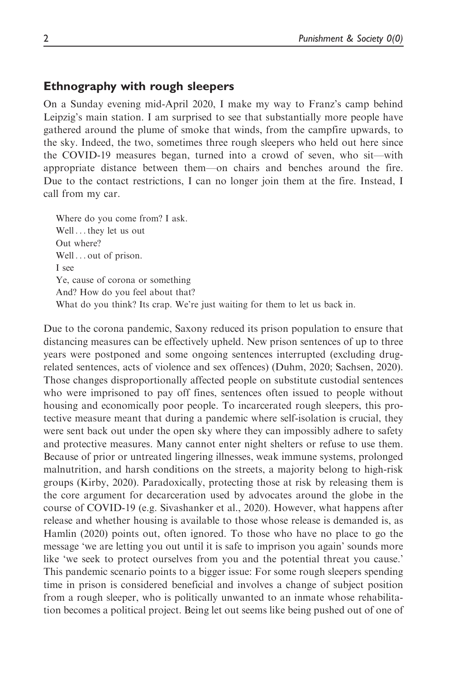# Ethnography with rough sleepers

On a Sunday evening mid-April 2020, I make my way to Franz's camp behind Leipzig's main station. I am surprised to see that substantially more people have gathered around the plume of smoke that winds, from the campfire upwards, to the sky. Indeed, the two, sometimes three rough sleepers who held out here since the COVID-19 measures began, turned into a crowd of seven, who sit—with appropriate distance between them—on chairs and benches around the fire. Due to the contact restrictions, I can no longer join them at the fire. Instead, I call from my car.

Where do you come from? I ask. Well ... they let us out Out where? Well ... out of prison. I see Ye, cause of corona or something And? How do you feel about that? What do you think? Its crap. We're just waiting for them to let us back in.

Due to the corona pandemic, Saxony reduced its prison population to ensure that distancing measures can be effectively upheld. New prison sentences of up to three years were postponed and some ongoing sentences interrupted (excluding drugrelated sentences, acts of violence and sex offences) (Duhm, 2020; Sachsen, 2020). Those changes disproportionally affected people on substitute custodial sentences who were imprisoned to pay off fines, sentences often issued to people without housing and economically poor people. To incarcerated rough sleepers, this protective measure meant that during a pandemic where self-isolation is crucial, they were sent back out under the open sky where they can impossibly adhere to safety and protective measures. Many cannot enter night shelters or refuse to use them. Because of prior or untreated lingering illnesses, weak immune systems, prolonged malnutrition, and harsh conditions on the streets, a majority belong to high-risk groups (Kirby, 2020). Paradoxically, protecting those at risk by releasing them is the core argument for decarceration used by advocates around the globe in the course of COVID-19 (e.g. Sivashanker et al., 2020). However, what happens after release and whether housing is available to those whose release is demanded is, as Hamlin (2020) points out, often ignored. To those who have no place to go the message 'we are letting you out until it is safe to imprison you again' sounds more like 'we seek to protect ourselves from you and the potential threat you cause.' This pandemic scenario points to a bigger issue: For some rough sleepers spending time in prison is considered beneficial and involves a change of subject position from a rough sleeper, who is politically unwanted to an inmate whose rehabilitation becomes a political project. Being let out seems like being pushed out of one of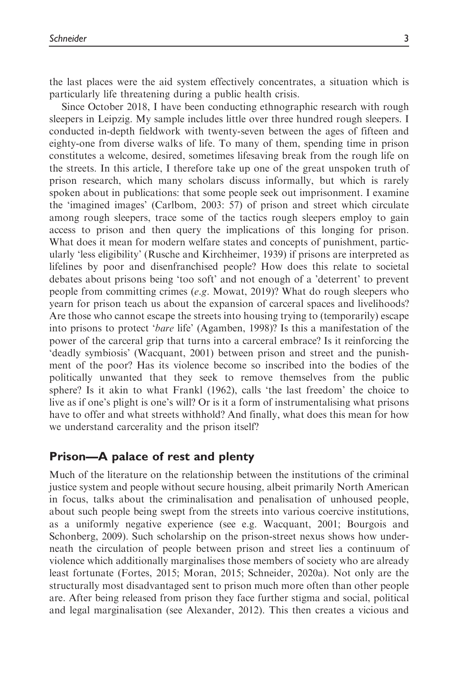the last places were the aid system effectively concentrates, a situation which is particularly life threatening during a public health crisis.

Since October 2018, I have been conducting ethnographic research with rough sleepers in Leipzig. My sample includes little over three hundred rough sleepers. I conducted in-depth fieldwork with twenty-seven between the ages of fifteen and eighty-one from diverse walks of life. To many of them, spending time in prison constitutes a welcome, desired, sometimes lifesaving break from the rough life on the streets. In this article, I therefore take up one of the great unspoken truth of prison research, which many scholars discuss informally, but which is rarely spoken about in publications: that some people seek out imprisonment. I examine the 'imagined images' (Carlbom, 2003: 57) of prison and street which circulate among rough sleepers, trace some of the tactics rough sleepers employ to gain access to prison and then query the implications of this longing for prison. What does it mean for modern welfare states and concepts of punishment, particularly 'less eligibility' (Rusche and Kirchheimer, 1939) if prisons are interpreted as lifelines by poor and disenfranchised people? How does this relate to societal debates about prisons being 'too soft' and not enough of a 'deterrent' to prevent people from committing crimes (e.g. Mowat, 2019)? What do rough sleepers who yearn for prison teach us about the expansion of carceral spaces and livelihoods? Are those who cannot escape the streets into housing trying to (temporarily) escape into prisons to protect 'bare life' (Agamben, 1998)? Is this a manifestation of the power of the carceral grip that turns into a carceral embrace? Is it reinforcing the 'deadly symbiosis' (Wacquant, 2001) between prison and street and the punishment of the poor? Has its violence become so inscribed into the bodies of the politically unwanted that they seek to remove themselves from the public sphere? Is it akin to what Frankl (1962), calls 'the last freedom' the choice to live as if one's plight is one's will? Or is it a form of instrumentalising what prisons have to offer and what streets withhold? And finally, what does this mean for how we understand carcerality and the prison itself?

# Prison—A palace of rest and plenty

Much of the literature on the relationship between the institutions of the criminal justice system and people without secure housing, albeit primarily North American in focus, talks about the criminalisation and penalisation of unhoused people, about such people being swept from the streets into various coercive institutions, as a uniformly negative experience (see e.g. Wacquant, 2001; Bourgois and Schonberg, 2009). Such scholarship on the prison-street nexus shows how underneath the circulation of people between prison and street lies a continuum of violence which additionally marginalises those members of society who are already least fortunate (Fortes, 2015; Moran, 2015; Schneider, 2020a). Not only are the structurally most disadvantaged sent to prison much more often than other people are. After being released from prison they face further stigma and social, political and legal marginalisation (see Alexander, 2012). This then creates a vicious and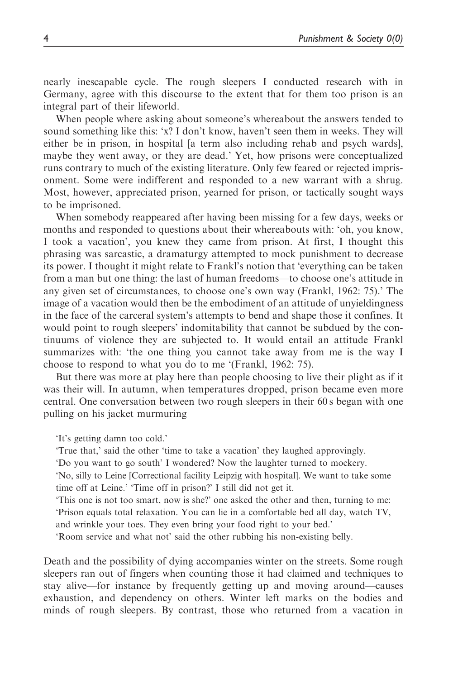nearly inescapable cycle. The rough sleepers I conducted research with in Germany, agree with this discourse to the extent that for them too prison is an integral part of their lifeworld.

When people where asking about someone's whereabout the answers tended to sound something like this: 'x? I don't know, haven't seen them in weeks. They will either be in prison, in hospital [a term also including rehab and psych wards], maybe they went away, or they are dead.' Yet, how prisons were conceptualized runs contrary to much of the existing literature. Only few feared or rejected imprisonment. Some were indifferent and responded to a new warrant with a shrug. Most, however, appreciated prison, yearned for prison, or tactically sought ways to be imprisoned.

When somebody reappeared after having been missing for a few days, weeks or months and responded to questions about their whereabouts with: 'oh, you know, I took a vacation', you knew they came from prison. At first, I thought this phrasing was sarcastic, a dramaturgy attempted to mock punishment to decrease its power. I thought it might relate to Frankl's notion that 'everything can be taken from a man but one thing: the last of human freedoms—to choose one's attitude in any given set of circumstances, to choose one's own way (Frankl, 1962: 75).' The image of a vacation would then be the embodiment of an attitude of unyieldingness in the face of the carceral system's attempts to bend and shape those it confines. It would point to rough sleepers' indomitability that cannot be subdued by the continuums of violence they are subjected to. It would entail an attitude Frankl summarizes with: 'the one thing you cannot take away from me is the way I choose to respond to what you do to me '(Frankl, 1962: 75).

But there was more at play here than people choosing to live their plight as if it was their will. In autumn, when temperatures dropped, prison became even more central. One conversation between two rough sleepers in their 60 s began with one pulling on his jacket murmuring

'It's getting damn too cold.'

'True that,' said the other 'time to take a vacation' they laughed approvingly.

'Do you want to go south' I wondered? Now the laughter turned to mockery.

'No, silly to Leine [Correctional facility Leipzig with hospital]. We want to take some time off at Leine.' 'Time off in prison?' I still did not get it.

'This one is not too smart, now is she?' one asked the other and then, turning to me: 'Prison equals total relaxation. You can lie in a comfortable bed all day, watch TV,

and wrinkle your toes. They even bring your food right to your bed.'

'Room service and what not' said the other rubbing his non-existing belly.

Death and the possibility of dying accompanies winter on the streets. Some rough sleepers ran out of fingers when counting those it had claimed and techniques to stay alive—for instance by frequently getting up and moving around—causes exhaustion, and dependency on others. Winter left marks on the bodies and minds of rough sleepers. By contrast, those who returned from a vacation in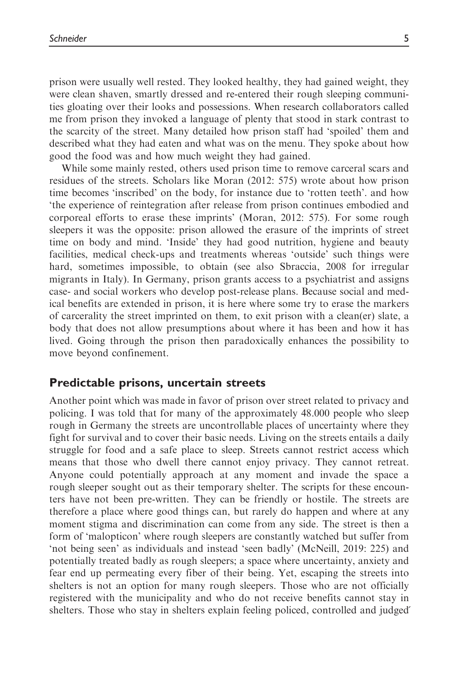prison were usually well rested. They looked healthy, they had gained weight, they were clean shaven, smartly dressed and re-entered their rough sleeping communities gloating over their looks and possessions. When research collaborators called me from prison they invoked a language of plenty that stood in stark contrast to the scarcity of the street. Many detailed how prison staff had 'spoiled' them and described what they had eaten and what was on the menu. They spoke about how good the food was and how much weight they had gained.

While some mainly rested, others used prison time to remove carceral scars and residues of the streets. Scholars like Moran (2012: 575) wrote about how prison time becomes 'inscribed' on the body, for instance due to 'rotten teeth'. and how 'the experience of reintegration after release from prison continues embodied and corporeal efforts to erase these imprints' (Moran, 2012: 575). For some rough sleepers it was the opposite: prison allowed the erasure of the imprints of street time on body and mind. 'Inside' they had good nutrition, hygiene and beauty facilities, medical check-ups and treatments whereas 'outside' such things were hard, sometimes impossible, to obtain (see also Sbraccia, 2008 for irregular migrants in Italy). In Germany, prison grants access to a psychiatrist and assigns case- and social workers who develop post-release plans. Because social and medical benefits are extended in prison, it is here where some try to erase the markers of carcerality the street imprinted on them, to exit prison with a clean(er) slate, a body that does not allow presumptions about where it has been and how it has lived. Going through the prison then paradoxically enhances the possibility to move beyond confinement.

## Predictable prisons, uncertain streets

Another point which was made in favor of prison over street related to privacy and policing. I was told that for many of the approximately 48.000 people who sleep rough in Germany the streets are uncontrollable places of uncertainty where they fight for survival and to cover their basic needs. Living on the streets entails a daily struggle for food and a safe place to sleep. Streets cannot restrict access which means that those who dwell there cannot enjoy privacy. They cannot retreat. Anyone could potentially approach at any moment and invade the space a rough sleeper sought out as their temporary shelter. The scripts for these encounters have not been pre-written. They can be friendly or hostile. The streets are therefore a place where good things can, but rarely do happen and where at any moment stigma and discrimination can come from any side. The street is then a form of 'malopticon' where rough sleepers are constantly watched but suffer from 'not being seen' as individuals and instead 'seen badly' (McNeill, 2019: 225) and potentially treated badly as rough sleepers; a space where uncertainty, anxiety and fear end up permeating every fiber of their being. Yet, escaping the streets into shelters is not an option for many rough sleepers. Those who are not officially registered with the municipality and who do not receive benefits cannot stay in shelters. Those who stay in shelters explain feeling policed, controlled and judged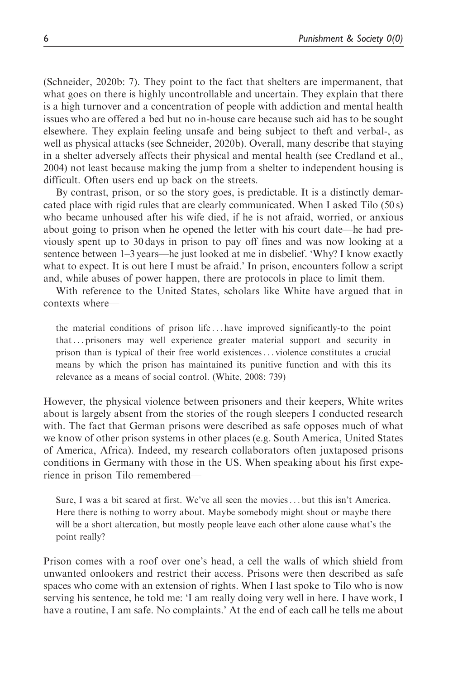(Schneider, 2020b: 7). They point to the fact that shelters are impermanent, that what goes on there is highly uncontrollable and uncertain. They explain that there is a high turnover and a concentration of people with addiction and mental health issues who are offered a bed but no in-house care because such aid has to be sought elsewhere. They explain feeling unsafe and being subject to theft and verbal-, as well as physical attacks (see Schneider, 2020b). Overall, many describe that staying in a shelter adversely affects their physical and mental health (see Credland et al., 2004) not least because making the jump from a shelter to independent housing is difficult. Often users end up back on the streets.

By contrast, prison, or so the story goes, is predictable. It is a distinctly demarcated place with rigid rules that are clearly communicated. When I asked Tilo  $(50 s)$ who became unhoused after his wife died, if he is not afraid, worried, or anxious about going to prison when he opened the letter with his court date—he had previously spent up to 30 days in prison to pay off fines and was now looking at a sentence between 1–3 years—he just looked at me in disbelief. 'Why? I know exactly what to expect. It is out here I must be afraid.' In prison, encounters follow a script and, while abuses of power happen, there are protocols in place to limit them.

With reference to the United States, scholars like White have argued that in contexts where—

the material conditions of prison life ... have improved significantly-to the point that... prisoners may well experience greater material support and security in prison than is typical of their free world existences... violence constitutes a crucial means by which the prison has maintained its punitive function and with this its relevance as a means of social control. (White, 2008: 739)

However, the physical violence between prisoners and their keepers, White writes about is largely absent from the stories of the rough sleepers I conducted research with. The fact that German prisons were described as safe opposes much of what we know of other prison systems in other places (e.g. South America, United States of America, Africa). Indeed, my research collaborators often juxtaposed prisons conditions in Germany with those in the US. When speaking about his first experience in prison Tilo remembered—

Sure, I was a bit scared at first. We've all seen the movies... but this isn't America. Here there is nothing to worry about. Maybe somebody might shout or maybe there will be a short altercation, but mostly people leave each other alone cause what's the point really?

Prison comes with a roof over one's head, a cell the walls of which shield from unwanted onlookers and restrict their access. Prisons were then described as safe spaces who come with an extension of rights. When I last spoke to Tilo who is now serving his sentence, he told me: 'I am really doing very well in here. I have work, I have a routine, I am safe. No complaints.' At the end of each call he tells me about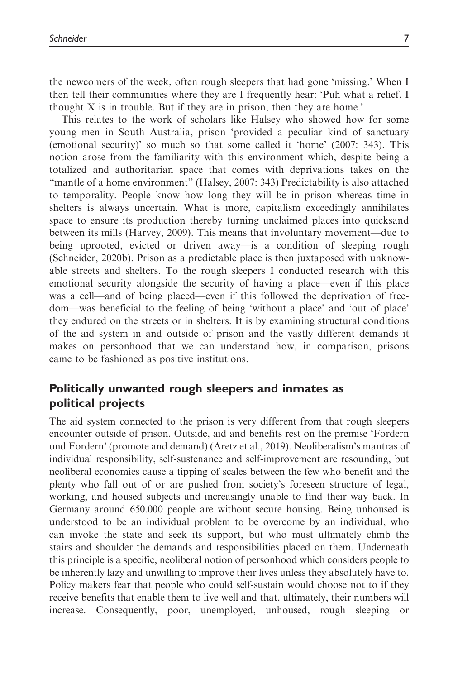the newcomers of the week, often rough sleepers that had gone 'missing.' When I then tell their communities where they are I frequently hear: 'Puh what a relief. I thought  $X$  is in trouble. But if they are in prison, then they are home.'

This relates to the work of scholars like Halsey who showed how for some young men in South Australia, prison 'provided a peculiar kind of sanctuary (emotional security)' so much so that some called it 'home' (2007: 343). This notion arose from the familiarity with this environment which, despite being a totalized and authoritarian space that comes with deprivations takes on the "mantle of a home environment" (Halsey, 2007: 343) Predictability is also attached to temporality. People know how long they will be in prison whereas time in shelters is always uncertain. What is more, capitalism exceedingly annihilates space to ensure its production thereby turning unclaimed places into quicksand between its mills (Harvey, 2009). This means that involuntary movement—due to being uprooted, evicted or driven away—is a condition of sleeping rough (Schneider, 2020b). Prison as a predictable place is then juxtaposed with unknowable streets and shelters. To the rough sleepers I conducted research with this emotional security alongside the security of having a place—even if this place was a cell—and of being placed—even if this followed the deprivation of freedom—was beneficial to the feeling of being 'without a place' and 'out of place' they endured on the streets or in shelters. It is by examining structural conditions of the aid system in and outside of prison and the vastly different demands it makes on personhood that we can understand how, in comparison, prisons came to be fashioned as positive institutions.

# Politically unwanted rough sleepers and inmates as political projects

The aid system connected to the prison is very different from that rough sleepers encounter outside of prison. Outside, aid and benefits rest on the premise 'Fördern und Fordern' (promote and demand) (Aretz et al., 2019). Neoliberalism's mantras of individual responsibility, self-sustenance and self-improvement are resounding, but neoliberal economies cause a tipping of scales between the few who benefit and the plenty who fall out of or are pushed from society's foreseen structure of legal, working, and housed subjects and increasingly unable to find their way back. In Germany around 650.000 people are without secure housing. Being unhoused is understood to be an individual problem to be overcome by an individual, who can invoke the state and seek its support, but who must ultimately climb the stairs and shoulder the demands and responsibilities placed on them. Underneath this principle is a specific, neoliberal notion of personhood which considers people to be inherently lazy and unwilling to improve their lives unless they absolutely have to. Policy makers fear that people who could self-sustain would choose not to if they receive benefits that enable them to live well and that, ultimately, their numbers will increase. Consequently, poor, unemployed, unhoused, rough sleeping or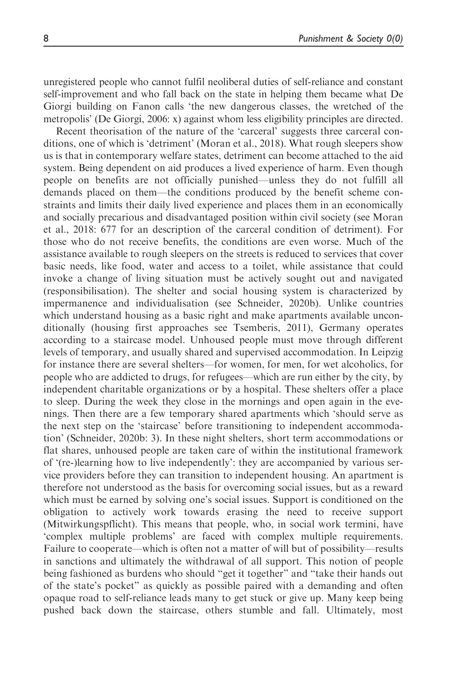unregistered people who cannot fulfil neoliberal duties of self-reliance and constant self-improvement and who fall back on the state in helping them became what De Giorgi building on Fanon calls 'the new dangerous classes, the wretched of the metropolis' (De Giorgi, 2006: x) against whom less eligibility principles are directed.

Recent theorisation of the nature of the 'carceral' suggests three carceral conditions, one of which is 'detriment' (Moran et al., 2018). What rough sleepers show us is that in contemporary welfare states, detriment can become attached to the aid system. Being dependent on aid produces a lived experience of harm. Even though people on benefits are not officially punished—unless they do not fulfill all demands placed on them—the conditions produced by the benefit scheme constraints and limits their daily lived experience and places them in an economically and socially precarious and disadvantaged position within civil society (see Moran et al., 2018: 677 for an description of the carceral condition of detriment). For those who do not receive benefits, the conditions are even worse. Much of the assistance available to rough sleepers on the streets is reduced to services that cover basic needs, like food, water and access to a toilet, while assistance that could invoke a change of living situation must be actively sought out and navigated (responsibilisation). The shelter and social housing system is characterized by impermanence and individualisation (see Schneider, 2020b). Unlike countries which understand housing as a basic right and make apartments available unconditionally (housing first approaches see Tsemberis, 2011), Germany operates according to a staircase model. Unhoused people must move through different levels of temporary, and usually shared and supervised accommodation. In Leipzig for instance there are several shelters—for women, for men, for wet alcoholics, for people who are addicted to drugs, for refugees—which are run either by the city, by independent charitable organizations or by a hospital. These shelters offer a place to sleep. During the week they close in the mornings and open again in the evenings. Then there are a few temporary shared apartments which 'should serve as the next step on the 'staircase' before transitioning to independent accommodation' (Schneider, 2020b: 3). In these night shelters, short term accommodations or flat shares, unhoused people are taken care of within the institutional framework of '(re-)learning how to live independently': they are accompanied by various service providers before they can transition to independent housing. An apartment is therefore not understood as the basis for overcoming social issues, but as a reward which must be earned by solving one's social issues. Support is conditioned on the obligation to actively work towards erasing the need to receive support (Mitwirkungspflicht). This means that people, who, in social work termini, have 'complex multiple problems' are faced with complex multiple requirements. Failure to cooperate—which is often not a matter of will but of possibility—results in sanctions and ultimately the withdrawal of all support. This notion of people being fashioned as burdens who should "get it together" and "take their hands out of the state's pocket" as quickly as possible paired with a demanding and often opaque road to self-reliance leads many to get stuck or give up. Many keep being pushed back down the staircase, others stumble and fall. Ultimately, most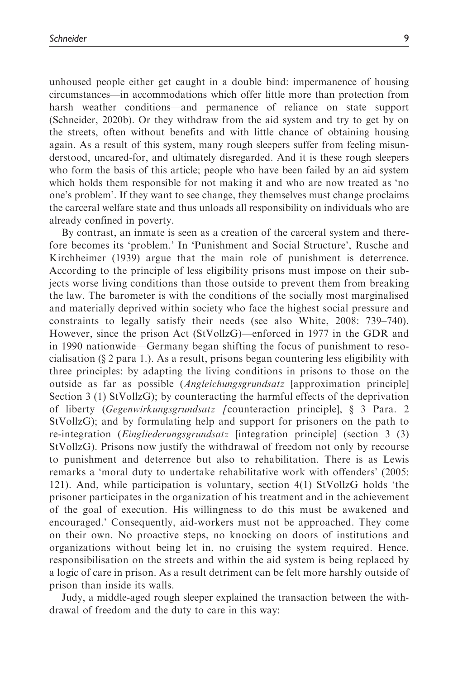unhoused people either get caught in a double bind: impermanence of housing circumstances—in accommodations which offer little more than protection from harsh weather conditions—and permanence of reliance on state support (Schneider, 2020b). Or they withdraw from the aid system and try to get by on the streets, often without benefits and with little chance of obtaining housing again. As a result of this system, many rough sleepers suffer from feeling misunderstood, uncared-for, and ultimately disregarded. And it is these rough sleepers who form the basis of this article; people who have been failed by an aid system which holds them responsible for not making it and who are now treated as 'no one's problem'. If they want to see change, they themselves must change proclaims the carceral welfare state and thus unloads all responsibility on individuals who are already confined in poverty.

By contrast, an inmate is seen as a creation of the carceral system and therefore becomes its 'problem.' In 'Punishment and Social Structure', Rusche and Kirchheimer (1939) argue that the main role of punishment is deterrence. According to the principle of less eligibility prisons must impose on their subjects worse living conditions than those outside to prevent them from breaking the law. The barometer is with the conditions of the socially most marginalised and materially deprived within society who face the highest social pressure and constraints to legally satisfy their needs (see also White, 2008: 739–740). However, since the prison Act (StVollzG)—enforced in 1977 in the GDR and in 1990 nationwide—Germany began shifting the focus of punishment to resocialisation (§ 2 para 1.). As a result, prisons began countering less eligibility with three principles: by adapting the living conditions in prisons to those on the outside as far as possible (Angleichungsgrundsatz [approximation principle] Section 3 (1) StVollzG); by counteracting the harmful effects of the deprivation of liberty (Gegenwirkungsgrundsatz [counteraction principle], § 3 Para. 2 StVollzG); and by formulating help and support for prisoners on the path to re-integration (Eingliederungsgrundsatz [integration principle] (section 3 (3) StVollzG). Prisons now justify the withdrawal of freedom not only by recourse to punishment and deterrence but also to rehabilitation. There is as Lewis remarks a 'moral duty to undertake rehabilitative work with offenders' (2005: 121). And, while participation is voluntary, section 4(1) StVollzG holds 'the prisoner participates in the organization of his treatment and in the achievement of the goal of execution. His willingness to do this must be awakened and encouraged.' Consequently, aid-workers must not be approached. They come on their own. No proactive steps, no knocking on doors of institutions and organizations without being let in, no cruising the system required. Hence, responsibilisation on the streets and within the aid system is being replaced by a logic of care in prison. As a result detriment can be felt more harshly outside of prison than inside its walls.

Judy, a middle-aged rough sleeper explained the transaction between the withdrawal of freedom and the duty to care in this way: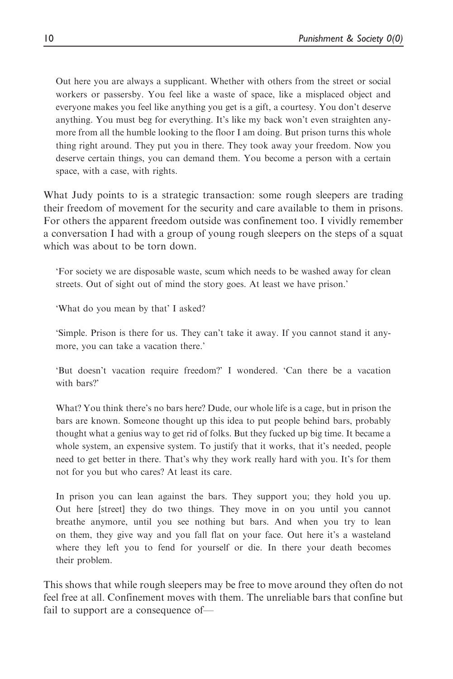Out here you are always a supplicant. Whether with others from the street or social workers or passersby. You feel like a waste of space, like a misplaced object and everyone makes you feel like anything you get is a gift, a courtesy. You don't deserve anything. You must beg for everything. It's like my back won't even straighten anymore from all the humble looking to the floor I am doing. But prison turns this whole thing right around. They put you in there. They took away your freedom. Now you deserve certain things, you can demand them. You become a person with a certain space, with a case, with rights.

What Judy points to is a strategic transaction: some rough sleepers are trading their freedom of movement for the security and care available to them in prisons. For others the apparent freedom outside was confinement too. I vividly remember a conversation I had with a group of young rough sleepers on the steps of a squat which was about to be torn down.

'For society we are disposable waste, scum which needs to be washed away for clean streets. Out of sight out of mind the story goes. At least we have prison.'

'What do you mean by that' I asked?

'Simple. Prison is there for us. They can't take it away. If you cannot stand it anymore, you can take a vacation there.'

'But doesn't vacation require freedom?' I wondered. 'Can there be a vacation with bars?'

What? You think there's no bars here? Dude, our whole life is a cage, but in prison the bars are known. Someone thought up this idea to put people behind bars, probably thought what a genius way to get rid of folks. But they fucked up big time. It became a whole system, an expensive system. To justify that it works, that it's needed, people need to get better in there. That's why they work really hard with you. It's for them not for you but who cares? At least its care.

In prison you can lean against the bars. They support you; they hold you up. Out here [street] they do two things. They move in on you until you cannot breathe anymore, until you see nothing but bars. And when you try to lean on them, they give way and you fall flat on your face. Out here it's a wasteland where they left you to fend for yourself or die. In there your death becomes their problem.

This shows that while rough sleepers may be free to move around they often do not feel free at all. Confinement moves with them. The unreliable bars that confine but fail to support are a consequence of—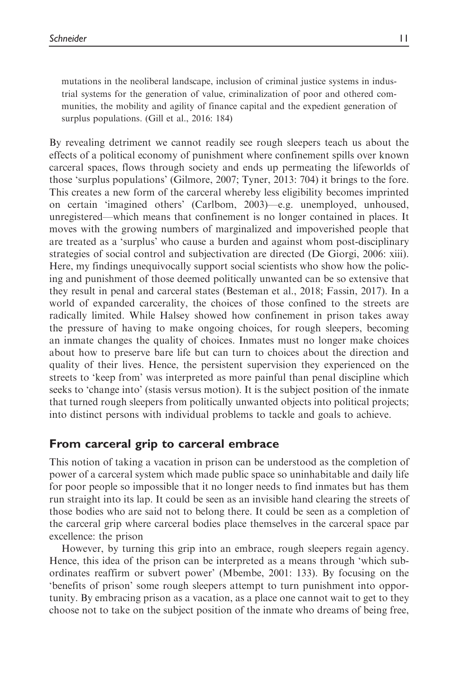mutations in the neoliberal landscape, inclusion of criminal justice systems in industrial systems for the generation of value, criminalization of poor and othered communities, the mobility and agility of finance capital and the expedient generation of surplus populations. (Gill et al., 2016: 184)

By revealing detriment we cannot readily see rough sleepers teach us about the effects of a political economy of punishment where confinement spills over known carceral spaces, flows through society and ends up permeating the lifeworlds of those 'surplus populations' (Gilmore, 2007; Tyner, 2013: 704) it brings to the fore. This creates a new form of the carceral whereby less eligibility becomes imprinted on certain 'imagined others' (Carlbom, 2003)—e.g. unemployed, unhoused, unregistered—which means that confinement is no longer contained in places. It moves with the growing numbers of marginalized and impoverished people that are treated as a 'surplus' who cause a burden and against whom post-disciplinary strategies of social control and subjectivation are directed (De Giorgi, 2006: xiii). Here, my findings unequivocally support social scientists who show how the policing and punishment of those deemed politically unwanted can be so extensive that they result in penal and carceral states (Besteman et al., 2018; Fassin, 2017). In a world of expanded carcerality, the choices of those confined to the streets are radically limited. While Halsey showed how confinement in prison takes away the pressure of having to make ongoing choices, for rough sleepers, becoming an inmate changes the quality of choices. Inmates must no longer make choices about how to preserve bare life but can turn to choices about the direction and quality of their lives. Hence, the persistent supervision they experienced on the streets to 'keep from' was interpreted as more painful than penal discipline which seeks to 'change into' (stasis versus motion). It is the subject position of the inmate that turned rough sleepers from politically unwanted objects into political projects; into distinct persons with individual problems to tackle and goals to achieve.

# From carceral grip to carceral embrace

This notion of taking a vacation in prison can be understood as the completion of power of a carceral system which made public space so uninhabitable and daily life for poor people so impossible that it no longer needs to find inmates but has them run straight into its lap. It could be seen as an invisible hand clearing the streets of those bodies who are said not to belong there. It could be seen as a completion of the carceral grip where carceral bodies place themselves in the carceral space par excellence: the prison

However, by turning this grip into an embrace, rough sleepers regain agency. Hence, this idea of the prison can be interpreted as a means through 'which subordinates reaffirm or subvert power' (Mbembe, 2001: 133). By focusing on the 'benefits of prison' some rough sleepers attempt to turn punishment into opportunity. By embracing prison as a vacation, as a place one cannot wait to get to they choose not to take on the subject position of the inmate who dreams of being free,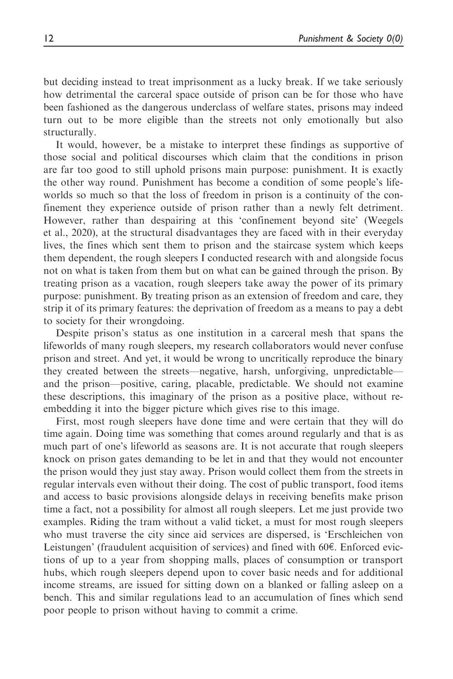but deciding instead to treat imprisonment as a lucky break. If we take seriously how detrimental the carceral space outside of prison can be for those who have been fashioned as the dangerous underclass of welfare states, prisons may indeed turn out to be more eligible than the streets not only emotionally but also structurally.

It would, however, be a mistake to interpret these findings as supportive of those social and political discourses which claim that the conditions in prison are far too good to still uphold prisons main purpose: punishment. It is exactly the other way round. Punishment has become a condition of some people's lifeworlds so much so that the loss of freedom in prison is a continuity of the confinement they experience outside of prison rather than a newly felt detriment. However, rather than despairing at this 'confinement beyond site' (Weegels et al., 2020), at the structural disadvantages they are faced with in their everyday lives, the fines which sent them to prison and the staircase system which keeps them dependent, the rough sleepers I conducted research with and alongside focus not on what is taken from them but on what can be gained through the prison. By treating prison as a vacation, rough sleepers take away the power of its primary purpose: punishment. By treating prison as an extension of freedom and care, they strip it of its primary features: the deprivation of freedom as a means to pay a debt to society for their wrongdoing.

Despite prison's status as one institution in a carceral mesh that spans the lifeworlds of many rough sleepers, my research collaborators would never confuse prison and street. And yet, it would be wrong to uncritically reproduce the binary they created between the streets—negative, harsh, unforgiving, unpredictable and the prison—positive, caring, placable, predictable. We should not examine these descriptions, this imaginary of the prison as a positive place, without reembedding it into the bigger picture which gives rise to this image.

First, most rough sleepers have done time and were certain that they will do time again. Doing time was something that comes around regularly and that is as much part of one's lifeworld as seasons are. It is not accurate that rough sleepers knock on prison gates demanding to be let in and that they would not encounter the prison would they just stay away. Prison would collect them from the streets in regular intervals even without their doing. The cost of public transport, food items and access to basic provisions alongside delays in receiving benefits make prison time a fact, not a possibility for almost all rough sleepers. Let me just provide two examples. Riding the tram without a valid ticket, a must for most rough sleepers who must traverse the city since aid services are dispersed, is 'Erschleichen von Leistungen' (fraudulent acquisition of services) and fined with  $60\epsilon$ . Enforced evictions of up to a year from shopping malls, places of consumption or transport hubs, which rough sleepers depend upon to cover basic needs and for additional income streams, are issued for sitting down on a blanked or falling asleep on a bench. This and similar regulations lead to an accumulation of fines which send poor people to prison without having to commit a crime.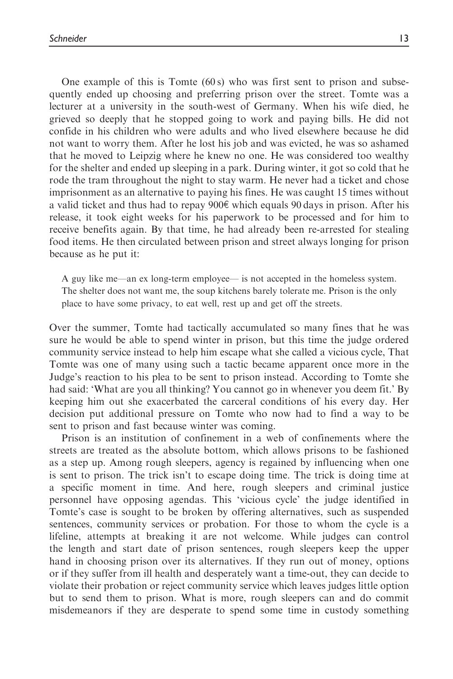One example of this is Tomte  $(60 s)$  who was first sent to prison and subsequently ended up choosing and preferring prison over the street. Tomte was a lecturer at a university in the south-west of Germany. When his wife died, he grieved so deeply that he stopped going to work and paying bills. He did not confide in his children who were adults and who lived elsewhere because he did not want to worry them. After he lost his job and was evicted, he was so ashamed that he moved to Leipzig where he knew no one. He was considered too wealthy for the shelter and ended up sleeping in a park. During winter, it got so cold that he rode the tram throughout the night to stay warm. He never had a ticket and chose imprisonment as an alternative to paying his fines. He was caught 15 times without a valid ticket and thus had to repay  $900\epsilon$  which equals 90 days in prison. After his release, it took eight weeks for his paperwork to be processed and for him to receive benefits again. By that time, he had already been re-arrested for stealing food items. He then circulated between prison and street always longing for prison because as he put it:

A guy like me—an ex long-term employee— is not accepted in the homeless system. The shelter does not want me, the soup kitchens barely tolerate me. Prison is the only place to have some privacy, to eat well, rest up and get off the streets.

Over the summer, Tomte had tactically accumulated so many fines that he was sure he would be able to spend winter in prison, but this time the judge ordered community service instead to help him escape what she called a vicious cycle, That Tomte was one of many using such a tactic became apparent once more in the Judge's reaction to his plea to be sent to prison instead. According to Tomte she had said: 'What are you all thinking? You cannot go in whenever you deem fit.' By keeping him out she exacerbated the carceral conditions of his every day. Her decision put additional pressure on Tomte who now had to find a way to be sent to prison and fast because winter was coming.

Prison is an institution of confinement in a web of confinements where the streets are treated as the absolute bottom, which allows prisons to be fashioned as a step up. Among rough sleepers, agency is regained by influencing when one is sent to prison. The trick isn't to escape doing time. The trick is doing time at a specific moment in time. And here, rough sleepers and criminal justice personnel have opposing agendas. This 'vicious cycle' the judge identified in Tomte's case is sought to be broken by offering alternatives, such as suspended sentences, community services or probation. For those to whom the cycle is a lifeline, attempts at breaking it are not welcome. While judges can control the length and start date of prison sentences, rough sleepers keep the upper hand in choosing prison over its alternatives. If they run out of money, options or if they suffer from ill health and desperately want a time-out, they can decide to violate their probation or reject community service which leaves judges little option but to send them to prison. What is more, rough sleepers can and do commit misdemeanors if they are desperate to spend some time in custody something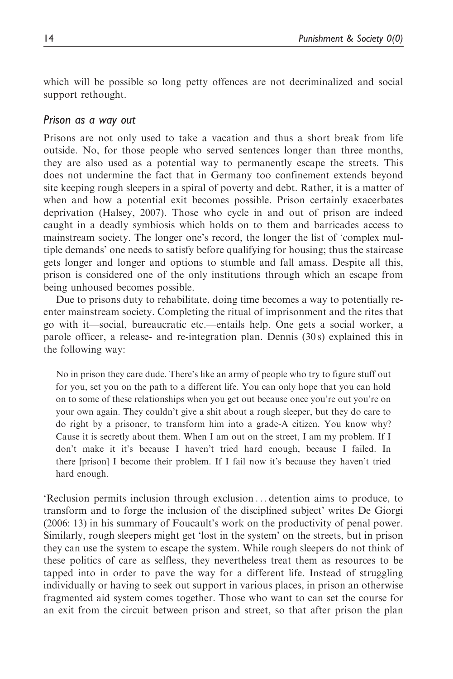which will be possible so long petty offences are not decriminalized and social support rethought.

### Prison as a way out

Prisons are not only used to take a vacation and thus a short break from life outside. No, for those people who served sentences longer than three months, they are also used as a potential way to permanently escape the streets. This does not undermine the fact that in Germany too confinement extends beyond site keeping rough sleepers in a spiral of poverty and debt. Rather, it is a matter of when and how a potential exit becomes possible. Prison certainly exacerbates deprivation (Halsey, 2007). Those who cycle in and out of prison are indeed caught in a deadly symbiosis which holds on to them and barricades access to mainstream society. The longer one's record, the longer the list of 'complex multiple demands' one needs to satisfy before qualifying for housing; thus the staircase gets longer and longer and options to stumble and fall amass. Despite all this, prison is considered one of the only institutions through which an escape from being unhoused becomes possible.

Due to prisons duty to rehabilitate, doing time becomes a way to potentially reenter mainstream society. Completing the ritual of imprisonment and the rites that go with it—social, bureaucratic etc.—entails help. One gets a social worker, a parole officer, a release- and re-integration plan. Dennis (30 s) explained this in the following way:

No in prison they care dude. There's like an army of people who try to figure stuff out for you, set you on the path to a different life. You can only hope that you can hold on to some of these relationships when you get out because once you're out you're on your own again. They couldn't give a shit about a rough sleeper, but they do care to do right by a prisoner, to transform him into a grade-A citizen. You know why? Cause it is secretly about them. When I am out on the street, I am my problem. If I don't make it it's because I haven't tried hard enough, because I failed. In there [prison] I become their problem. If I fail now it's because they haven't tried hard enough.

'Reclusion permits inclusion through exclusion ... detention aims to produce, to transform and to forge the inclusion of the disciplined subject' writes De Giorgi (2006: 13) in his summary of Foucault's work on the productivity of penal power. Similarly, rough sleepers might get 'lost in the system' on the streets, but in prison they can use the system to escape the system. While rough sleepers do not think of these politics of care as selfless, they nevertheless treat them as resources to be tapped into in order to pave the way for a different life. Instead of struggling individually or having to seek out support in various places, in prison an otherwise fragmented aid system comes together. Those who want to can set the course for an exit from the circuit between prison and street, so that after prison the plan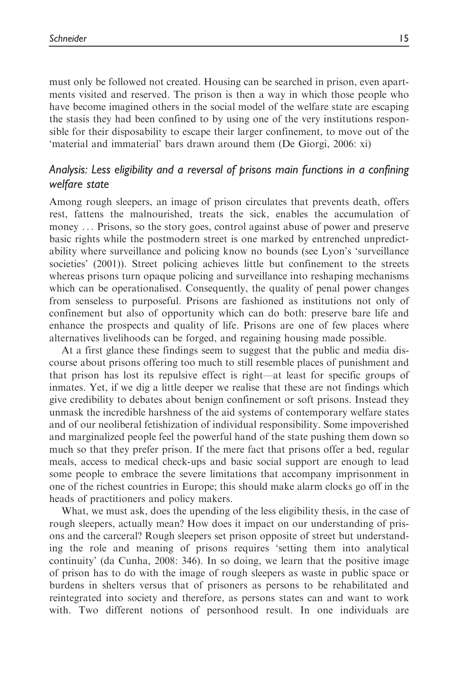must only be followed not created. Housing can be searched in prison, even apartments visited and reserved. The prison is then a way in which those people who have become imagined others in the social model of the welfare state are escaping the stasis they had been confined to by using one of the very institutions responsible for their disposability to escape their larger confinement, to move out of the 'material and immaterial' bars drawn around them (De Giorgi, 2006: xi)

# Analysis: Less eligibility and a reversal of prisons main functions in a confining welfare state

Among rough sleepers, an image of prison circulates that prevents death, offers rest, fattens the malnourished, treats the sick, enables the accumulation of money ... Prisons, so the story goes, control against abuse of power and preserve basic rights while the postmodern street is one marked by entrenched unpredictability where surveillance and policing know no bounds (see Lyon's 'surveillance societies' (2001)). Street policing achieves little but confinement to the streets whereas prisons turn opaque policing and surveillance into reshaping mechanisms which can be operationalised. Consequently, the quality of penal power changes from senseless to purposeful. Prisons are fashioned as institutions not only of confinement but also of opportunity which can do both: preserve bare life and enhance the prospects and quality of life. Prisons are one of few places where alternatives livelihoods can be forged, and regaining housing made possible.

At a first glance these findings seem to suggest that the public and media discourse about prisons offering too much to still resemble places of punishment and that prison has lost its repulsive effect is right—at least for specific groups of inmates. Yet, if we dig a little deeper we realise that these are not findings which give credibility to debates about benign confinement or soft prisons. Instead they unmask the incredible harshness of the aid systems of contemporary welfare states and of our neoliberal fetishization of individual responsibility. Some impoverished and marginalized people feel the powerful hand of the state pushing them down so much so that they prefer prison. If the mere fact that prisons offer a bed, regular meals, access to medical check-ups and basic social support are enough to lead some people to embrace the severe limitations that accompany imprisonment in one of the richest countries in Europe; this should make alarm clocks go off in the heads of practitioners and policy makers.

What, we must ask, does the upending of the less eligibility thesis, in the case of rough sleepers, actually mean? How does it impact on our understanding of prisons and the carceral? Rough sleepers set prison opposite of street but understanding the role and meaning of prisons requires 'setting them into analytical continuity' (da Cunha, 2008: 346). In so doing, we learn that the positive image of prison has to do with the image of rough sleepers as waste in public space or burdens in shelters versus that of prisoners as persons to be rehabilitated and reintegrated into society and therefore, as persons states can and want to work with. Two different notions of personhood result. In one individuals are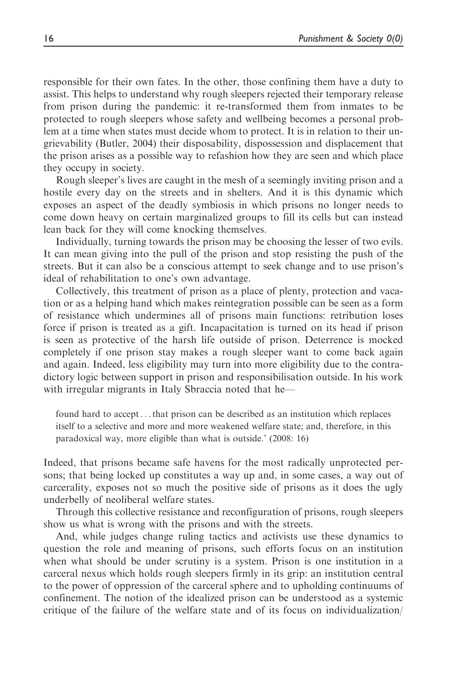responsible for their own fates. In the other, those confining them have a duty to assist. This helps to understand why rough sleepers rejected their temporary release from prison during the pandemic: it re-transformed them from inmates to be protected to rough sleepers whose safety and wellbeing becomes a personal problem at a time when states must decide whom to protect. It is in relation to their ungrievability (Butler, 2004) their disposability, dispossession and displacement that the prison arises as a possible way to refashion how they are seen and which place they occupy in society.

Rough sleeper's lives are caught in the mesh of a seemingly inviting prison and a hostile every day on the streets and in shelters. And it is this dynamic which exposes an aspect of the deadly symbiosis in which prisons no longer needs to come down heavy on certain marginalized groups to fill its cells but can instead lean back for they will come knocking themselves.

Individually, turning towards the prison may be choosing the lesser of two evils. It can mean giving into the pull of the prison and stop resisting the push of the streets. But it can also be a conscious attempt to seek change and to use prison's ideal of rehabilitation to one's own advantage.

Collectively, this treatment of prison as a place of plenty, protection and vacation or as a helping hand which makes reintegration possible can be seen as a form of resistance which undermines all of prisons main functions: retribution loses force if prison is treated as a gift. Incapacitation is turned on its head if prison is seen as protective of the harsh life outside of prison. Deterrence is mocked completely if one prison stay makes a rough sleeper want to come back again and again. Indeed, less eligibility may turn into more eligibility due to the contradictory logic between support in prison and responsibilisation outside. In his work with irregular migrants in Italy Sbraccia noted that he—

found hard to accept... that prison can be described as an institution which replaces itself to a selective and more and more weakened welfare state; and, therefore, in this paradoxical way, more eligible than what is outside.' (2008: 16)

Indeed, that prisons became safe havens for the most radically unprotected persons; that being locked up constitutes a way up and, in some cases, a way out of carcerality, exposes not so much the positive side of prisons as it does the ugly underbelly of neoliberal welfare states.

Through this collective resistance and reconfiguration of prisons, rough sleepers show us what is wrong with the prisons and with the streets.

And, while judges change ruling tactics and activists use these dynamics to question the role and meaning of prisons, such efforts focus on an institution when what should be under scrutiny is a system. Prison is one institution in a carceral nexus which holds rough sleepers firmly in its grip: an institution central to the power of oppression of the carceral sphere and to upholding continuums of confinement. The notion of the idealized prison can be understood as a systemic critique of the failure of the welfare state and of its focus on individualization/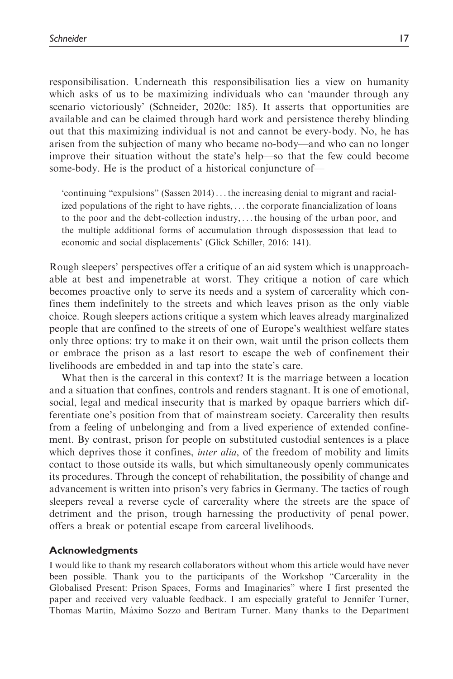responsibilisation. Underneath this responsibilisation lies a view on humanity which asks of us to be maximizing individuals who can 'maunder through any scenario victoriously' (Schneider, 2020c: 185). It asserts that opportunities are available and can be claimed through hard work and persistence thereby blinding out that this maximizing individual is not and cannot be every-body. No, he has arisen from the subjection of many who became no-body—and who can no longer improve their situation without the state's help—so that the few could become some-body. He is the product of a historical conjuncture of—

'continuing "expulsions" (Sassen 2014) ... the increasing denial to migrant and racialized populations of the right to have rights, ...the corporate financialization of loans to the poor and the debt-collection industry, ...the housing of the urban poor, and the multiple additional forms of accumulation through dispossession that lead to economic and social displacements' (Glick Schiller, 2016: 141).

Rough sleepers' perspectives offer a critique of an aid system which is unapproachable at best and impenetrable at worst. They critique a notion of care which becomes proactive only to serve its needs and a system of carcerality which confines them indefinitely to the streets and which leaves prison as the only viable choice. Rough sleepers actions critique a system which leaves already marginalized people that are confined to the streets of one of Europe's wealthiest welfare states only three options: try to make it on their own, wait until the prison collects them or embrace the prison as a last resort to escape the web of confinement their livelihoods are embedded in and tap into the state's care.

What then is the carceral in this context? It is the marriage between a location and a situation that confines, controls and renders stagnant. It is one of emotional, social, legal and medical insecurity that is marked by opaque barriers which differentiate one's position from that of mainstream society. Carcerality then results from a feeling of unbelonging and from a lived experience of extended confinement. By contrast, prison for people on substituted custodial sentences is a place which deprives those it confines, *inter alia*, of the freedom of mobility and limits contact to those outside its walls, but which simultaneously openly communicates its procedures. Through the concept of rehabilitation, the possibility of change and advancement is written into prison's very fabrics in Germany. The tactics of rough sleepers reveal a reverse cycle of carcerality where the streets are the space of detriment and the prison, trough harnessing the productivity of penal power, offers a break or potential escape from carceral livelihoods.

#### Acknowledgments

I would like to thank my research collaborators without whom this article would have never been possible. Thank you to the participants of the Workshop "Carcerality in the Globalised Present: Prison Spaces, Forms and Imaginaries" where I first presented the paper and received very valuable feedback. I am especially grateful to Jennifer Turner, Thomas Martin, Máximo Sozzo and Bertram Turner. Many thanks to the Department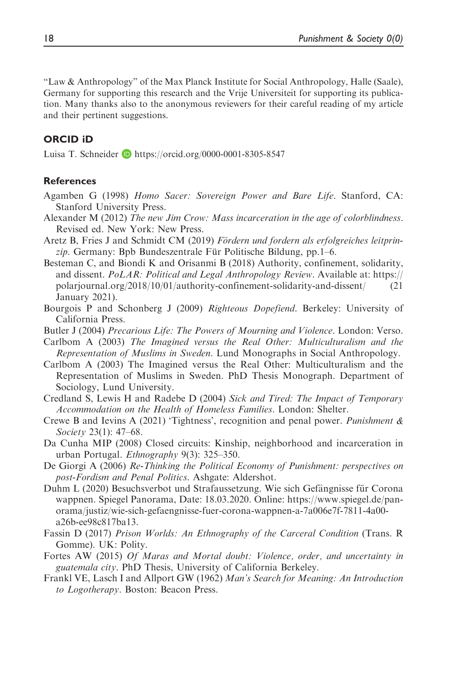"Law & Anthropology" of the Max Planck Institute for Social Anthropology, Halle (Saale), Germany for supporting this research and the Vrije Universiteit for supporting its publication. Many thanks also to the anonymous reviewers for their careful reading of my article and their pertinent suggestions.

## ORCID iD

Luisa T. Schneider **b** <https://orcid.org/0000-0001-8305-8547>

#### References

- Agamben G (1998) Homo Sacer: Sovereign Power and Bare Life. Stanford, CA: Stanford University Press.
- Alexander M (2012) The new Jim Crow: Mass incarceration in the age of colorblindness. Revised ed. New York: New Press.
- Aretz B, Fries J and Schmidt CM (2019) Fördern und fordern als erfolgreiches leitprin $zip$ . Germany: Bpb Bundeszentrale Für Politische Bildung, pp.  $1-6$ .
- Besteman C, and Biondi K and Orisanmi B (2018) Authority, confinement, solidarity, and dissent.  $PoLAR$ : Political and Legal Anthropology Review. Available at: [https://](https://polarjournal.org/2018/10/01/authority-confinement-solidarity-and-dissent/) [polarjournal.org/2018/10/01/authority-confinement-solidarity-and-dissent/](https://polarjournal.org/2018/10/01/authority-confinement-solidarity-and-dissent/) (21 January 2021).
- Bourgois P and Schonberg J (2009) Righteous Dopefiend. Berkeley: University of California Press.
- Butler J (2004) Precarious Life: The Powers of Mourning and Violence. London: Verso.
- Carlbom A (2003) The Imagined versus the Real Other: Multiculturalism and the Representation of Muslims in Sweden. Lund Monographs in Social Anthropology.
- Carlbom A (2003) The Imagined versus the Real Other: Multiculturalism and the Representation of Muslims in Sweden. PhD Thesis Monograph. Department of Sociology, Lund University.
- Credland S, Lewis H and Radebe D (2004) Sick and Tired: The Impact of Temporary Accommodation on the Health of Homeless Families. London: Shelter.
- Crewe B and Ievins A (2021) 'Tightness', recognition and penal power. Punishment  $\&$ Society 23(1): 47–68.
- Da Cunha MIP (2008) Closed circuits: Kinship, neighborhood and incarceration in urban Portugal. Ethnography 9(3): 325–350.
- De Giorgi A (2006) Re-Thinking the Political Economy of Punishment: perspectives on post-Fordism and Penal Politics. Ashgate: Aldershot.
- Duhm L (2020) Besuchsverbot und Strafaussetzung. Wie sich Gefängnisse für Corona wappnen. Spiegel Panorama, Date: 18.03.2020. Online: https://www.spiegel.de/panorama/justiz/wie-sich-gefaengnisse-fuer-corona-wappnen-a-7a006e7f-7811-4a00 a26b-ee98c817ba13.
- Fassin D (2017) Prison Worlds: An Ethnography of the Carceral Condition (Trans. R Gomme). UK: Polity.
- Fortes AW (2015) Of Maras and Mortal doubt: Violence, order, and uncertainty in guatemala city. PhD Thesis, University of California Berkeley.
- Frankl VE, Lasch I and Allport GW (1962) Man's Search for Meaning: An Introduction to Logotherapy. Boston: Beacon Press.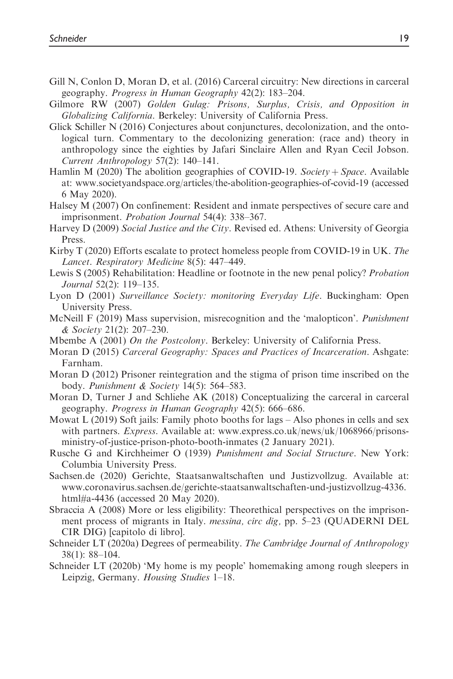- Gill N, Conlon D, Moran D, et al. (2016) Carceral circuitry: New directions in carceral geography. Progress in Human Geography 42(2): 183–204.
- Gilmore RW (2007) Golden Gulag: Prisons, Surplus, Crisis, and Opposition in Globalizing California. Berkeley: University of California Press.
- Glick Schiller N (2016) Conjectures about conjunctures, decolonization, and the ontological turn. Commentary to the decolonizing generation: (race and) theory in anthropology since the eighties by Jafari Sinclaire Allen and Ryan Cecil Jobson. Current Anthropology 57(2): 140–141.
- Hamlin M (2020) The abolition geographies of COVID-19. Society + Space. Available at: [www.societyandspace.org/articles/the-abolition-geographies-of-covid-19](http://www.societyandspace.org/articles/the-abolition-geographies-of-covid-19) (accessed 6 May 2020).
- Halsey M (2007) On confinement: Resident and inmate perspectives of secure care and imprisonment. Probation Journal 54(4): 338–367.
- Harvey D (2009) Social Justice and the City. Revised ed. Athens: University of Georgia Press.
- Kirby T (2020) Efforts escalate to protect homeless people from COVID-19 in UK. The Lancet. Respiratory Medicine 8(5): 447–449.
- Lewis S (2005) Rehabilitation: Headline or footnote in the new penal policy? Probation Journal 52(2): 119–135.
- Lyon D (2001) Surveillance Society: monitoring Everyday Life. Buckingham: Open University Press.
- McNeill F (2019) Mass supervision, misrecognition and the 'malopticon'. *Punishment* & Society 21(2): 207–230.
- Mbembe A (2001) On the Postcolony. Berkeley: University of California Press.
- Moran D (2015) Carceral Geography: Spaces and Practices of Incarceration. Ashgate: Farnham.
- Moran D (2012) Prisoner reintegration and the stigma of prison time inscribed on the body. Punishment & Society 14(5): 564–583.
- Moran D, Turner J and Schliehe AK (2018) Conceptualizing the carceral in carceral geography. Progress in Human Geography 42(5): 666–686.
- Mowat L (2019) Soft jails: Family photo booths for lags Also phones in cells and sex with partners. *Express*. Available at: [www.express.co.uk/news/uk/1068966/prisons](http://www.express.co.uk/news/uk/1068966/prisons-ministry-of-justice-prison-photo-booth-inmates)[ministry-of-justice-prison-photo-booth-inmates](http://www.express.co.uk/news/uk/1068966/prisons-ministry-of-justice-prison-photo-booth-inmates) (2 January 2021).
- Rusche G and Kirchheimer O (1939) Punishment and Social Structure. New York: Columbia University Press.
- Sachsen.de (2020) Gerichte, Staatsanwaltschaften und Justizvollzug. Available at: [www.coronavirus.sachsen.de/gerichte-staatsanwaltschaften-und-justizvollzug-4336.](http://www.coronavirus.sachsen.de/gerichte-staatsanwaltschaften-und-justizvollzug-4336.html#a-4436) [html#a-4436](http://www.coronavirus.sachsen.de/gerichte-staatsanwaltschaften-und-justizvollzug-4336.html#a-4436) (accessed 20 May 2020).
- Sbraccia A (2008) More or less eligibility: Theorethical perspectives on the imprisonment process of migrants in Italy. *messina, circ dig,* pp. 5–23 (QUADERNI DEL CIR DIG) [capitolo di libro].
- Schneider LT (2020a) Degrees of permeability. The Cambridge Journal of Anthropology 38(1): 88–104.
- Schneider LT (2020b) 'My home is my people' homemaking among rough sleepers in Leipzig, Germany. Housing Studies 1–18.